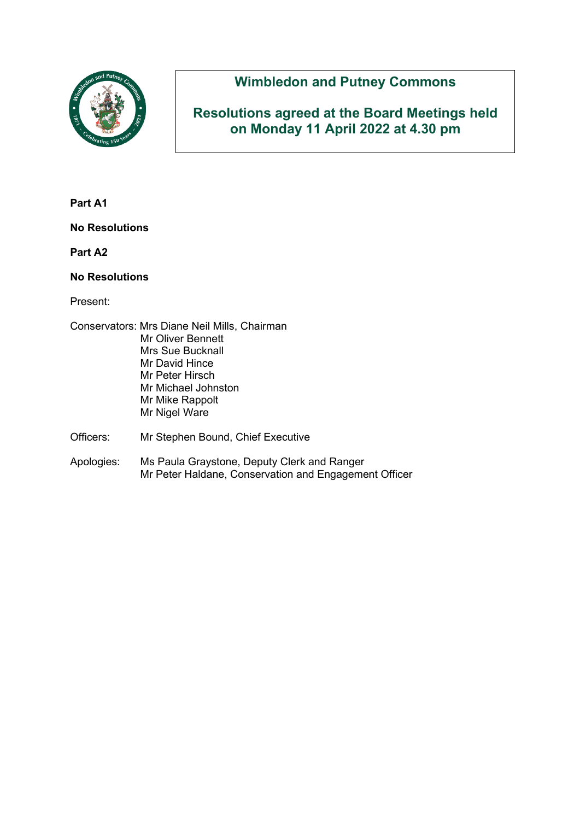

# **Wimbledon and Putney Commons**

**Resolutions agreed at the Board Meetings held on Monday 11 April 2022 at 4.30 pm**

**Part A1**

**No Resolutions**

**Part A2**

#### **No Resolutions**

Present:

- Conservators: Mrs Diane Neil Mills, Chairman Mr Oliver Bennett Mrs Sue Bucknall Mr David Hince Mr Peter Hirsch Mr Michael Johnston Mr Mike Rappolt Mr Nigel Ware Officers: Mr Stephen Bound, Chief Executive
- Apologies: Ms Paula Graystone, Deputy Clerk and Ranger Mr Peter Haldane, Conservation and Engagement Officer